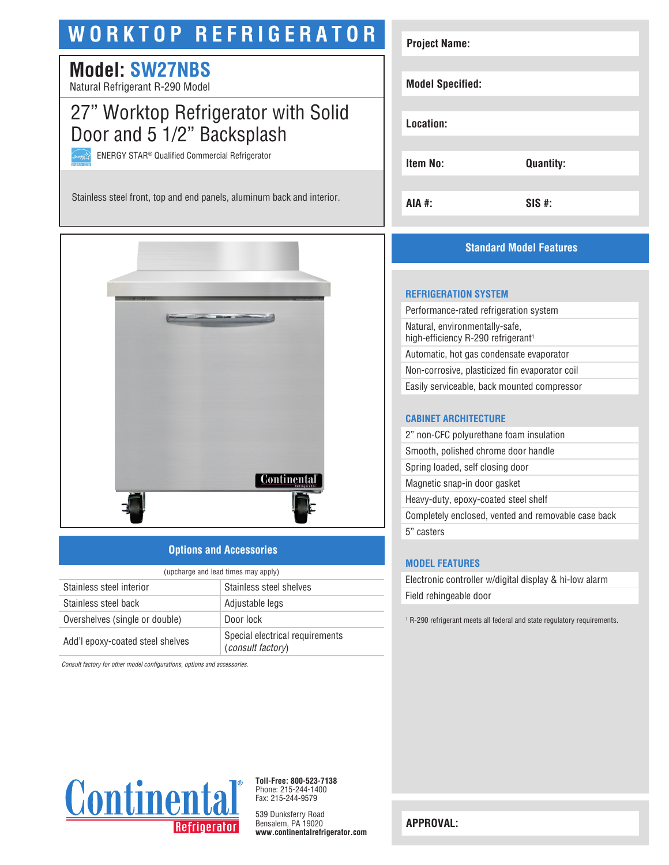# **WORKTOP REFRIGERATOR**

## **Model: SW27NBS**

Natural Refrigerant R-290 Model

## 27" Worktop Refrigerator with Solid Door and 5 1/2" Backsplash

ENERGY STAR® Qualified Commercial Refrigerator

Stainless steel front, top and end panels, aluminum back and interior.



## **Options and Accessories**

| (upcharge and lead times may apply) |                                                      |  |
|-------------------------------------|------------------------------------------------------|--|
| Stainless steel interior            | Stainless steel shelves                              |  |
| Stainless steel back                | Adjustable legs                                      |  |
| Overshelves (single or double)      | Door lock                                            |  |
| Add'l epoxy-coated steel shelves    | Special electrical requirements<br>(consult factory) |  |

*Consult factory for other model configurations, options and accessories.*



**Toll-Free: 800-523-7138** Phone: 215-244-1400 Fax: 215-244-9579

539 Dunksferry Road Bensalem, PA 19020 **www.continentalrefrigerator.com** 

| <b>Project Name:</b>    |                  |
|-------------------------|------------------|
|                         |                  |
| <b>Model Specified:</b> |                  |
|                         |                  |
| Location:               |                  |
|                         |                  |
| <b>Item No:</b>         | <b>Quantity:</b> |
|                         |                  |
| AIA #:                  | $SIS$ #:         |

## **Standard Model Features**

#### **REFRIGERATION SYSTEM**

Performance-rated refrigeration system Natural, environmentally-safe, high-efficiency R-290 refrigerant<sup>1</sup> Automatic, hot gas condensate evaporator Non-corrosive, plasticized fin evaporator coil Easily serviceable, back mounted compressor

#### **CABINET ARCHITECTURE**

2" non-CFC polyurethane foam insulation Smooth, polished chrome door handle Spring loaded, self closing door Magnetic snap-in door gasket Heavy-duty, epoxy-coated steel shelf Completely enclosed, vented and removable case back 5" casters

#### **MODEL FEATURES**

Electronic controller w/digital display & hi-low alarm Field rehingeable door

1 R-290 refrigerant meets all federal and state regulatory requirements.

**APPROVAL:**